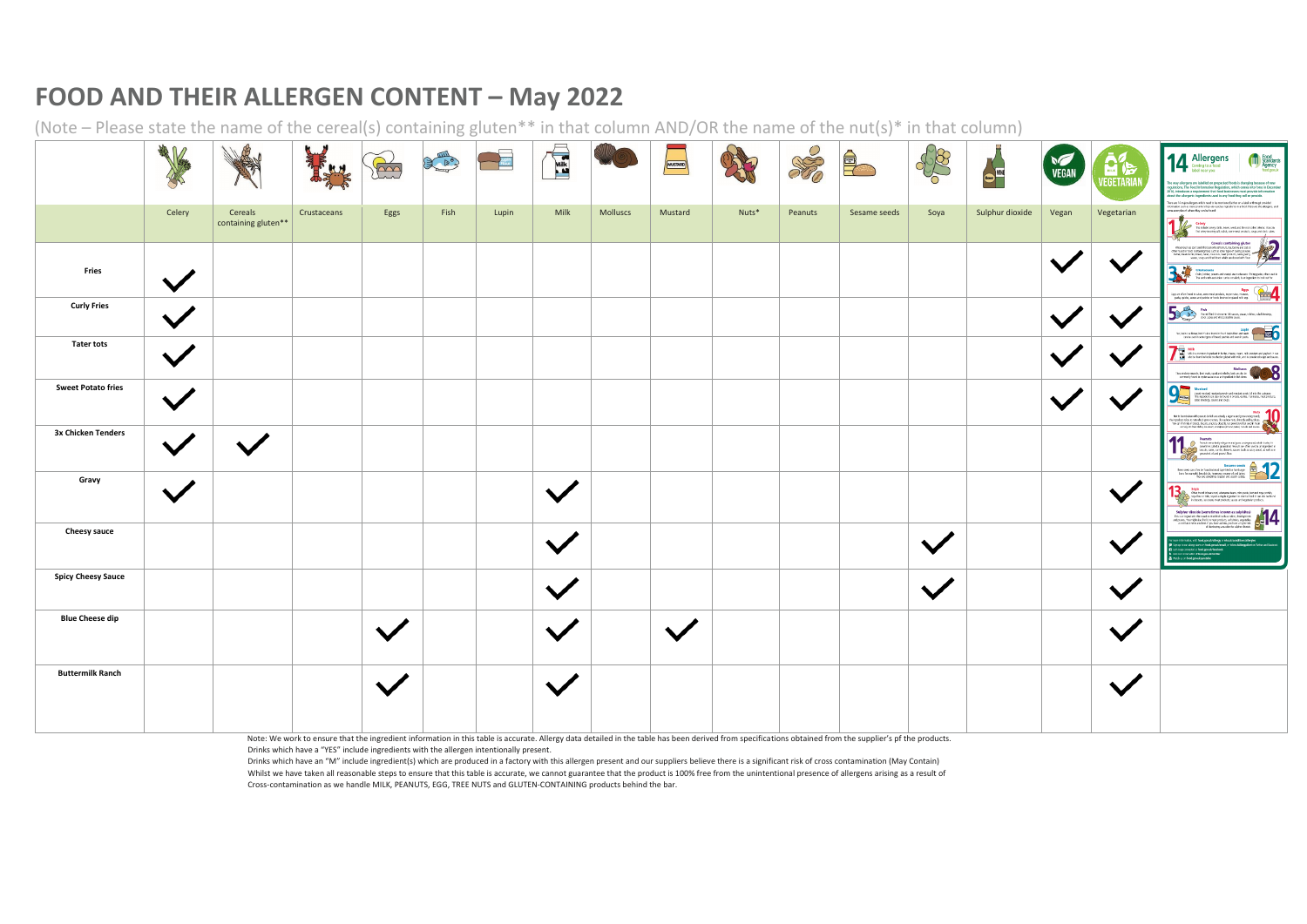## **FOOD AND THEIR ALLERGEN CONTENT – May 2022**

(Note – Please state the name of the cereal(s) containing gluten\*\* in that column AND/OR the name of the nut(s)\* in that column)

|                           | 美人<br>S |                                |             | Fine           | CE A | <b>Lupin</b><br>Flour | <b>Milk</b>  | <b>MO</b> | MUSTARD      |       | SO      | $\bigoplus$  | \$8  | Reer<br>Reer    | <b>VEGAN</b> | 日后<br>VEGETARIA | 14 Allergens<br><b>Food</b><br>Standards<br>Agency<br>food.gov.uk<br>he way allergens are labelled on prepacked foods is changing because of new<br>equiations. The Food Information Regulation, which comes into force in Decembe<br>014, introduces a requirement that food businesses must provide information<br>bout the allergenic ingredients used in any food they sell or provide.<br>There are 14 major allergers which need to be mentioned (either on a label or through provided                                                                                                                                                                                                             |
|---------------------------|---------|--------------------------------|-------------|----------------|------|-----------------------|--------------|-----------|--------------|-------|---------|--------------|------|-----------------|--------------|-----------------|-----------------------------------------------------------------------------------------------------------------------------------------------------------------------------------------------------------------------------------------------------------------------------------------------------------------------------------------------------------------------------------------------------------------------------------------------------------------------------------------------------------------------------------------------------------------------------------------------------------------------------------------------------------------------------------------------------------|
|                           | Celery  | Cereals<br>containing gluten** | Crustaceans | Eggs           | Fish | Lupin                 | Milk         | Molluscs  | Mustard      | Nuts* | Peanuts | Sesame seeds | Soya | Sulphur dioxide | Vegan        | Vegetarian      | information such as menual when they are used as ingredients in a lood. Here are the allergens, and<br>some examples of where they can be found:<br>Celeay<br>Pike their congrests, know, seek and the not clind static, You can<br>the charge in once you, which, some most protocs, sous and stock calme                                                                                                                                                                                                                                                                                                                                                                                                |
| <b>Fries</b>              |         |                                |             |                |      |                       |              |           |              |       |         |              |      |                 |              |                 | Careals containing glutian<br>what the containing glutian<br>what the care and the care and the care and the care and the care and<br>the care and the care of the care of the care of the care of<br>the care of the care of the car<br>and contained the contained of the contained of the changes of the contained of the contained of the changes of the contained the contained the contained of the contained of the contact of the contact contained of the cont<br>Eggs are often found in cakes, some mest products, mayoritalist, mostes, and the space patch, quickly, structure of planet with legal and the product of the regular space of planet with legal and the product of the regular |
| <b>Curly Fries</b>        |         |                                |             |                |      |                       |              |           |              |       |         |              |      |                 |              |                 | Fish We will find this insure (sheaves, pizza, rabbe, salad desiring, and a straighter of the same of Warcatechine saves.<br>Lupin<br>Ws, light is a flows but 25 also found in dour Lupin flow and west<br>Circle used in oner types of breat, packer and even in pasta                                                                                                                                                                                                                                                                                                                                                                                                                                  |
| <b>Tater tots</b>         |         |                                |             |                |      |                       |              |           |              |       |         |              |      |                 |              |                 | Milk<br>Mik is a common ingendent in furter, cheren, crean, milk powders and popularit it can<br>also be found in foods brusted or glased with milk, and in powdered rougs and source.<br>Molluses<br>These induce muscle, land analy, squid and whether, but can also be<br>commonly found in option source as an ingredient in this store                                                                                                                                                                                                                                                                                                                                                               |
| <b>Sweet Potato fries</b> |         |                                |             |                |      |                       |              |           |              |       |         |              |      |                 |              |                 | Her this interference<br>this parameter is an estably a legacy and process and the second state<br>of the state decision controls. The case of the second state and the<br>second of the state of the state of the second state of the                                                                                                                                                                                                                                                                                                                                                                                                                                                                    |
| 3x Chicken Tenders        |         |                                |             |                |      |                       |              |           |              |       |         |              |      |                 |              |                 | Peanuts<br>Your available prime and procession of path it subjets<br>Your and consider a point of New Your Substitute of the state of the state of the<br>Your distribution of the State State State State State State State State<br>                                                                                                                                                                                                                                                                                                                                                                                                                                                                    |
| Gravy                     |         |                                |             |                |      |                       |              |           |              |       |         |              |      |                 |              |                 | Seya che double ave aux estes mais bases, mito parte, tammed saya positio, and the same change and the same change of the same and the same of the same and the same and the same of the same and products.                                                                                                                                                                                                                                                                                                                                                                                                                                                                                               |
| <b>Cheesy sauce</b>       |         |                                |             |                |      |                       |              |           |              |       |         |              |      |                 |              |                 | mation, visit: food.gov.uk/allergy or rins.uk/conditions?allergies<br>ign up to cur along aions on food gowuk/email, or follow AAllengyAlert on Tuitter an<br><b>IS keep connected at fired gov.uk/facebook</b><br>cur conversation @food.gov.uk/twitter                                                                                                                                                                                                                                                                                                                                                                                                                                                  |
| <b>Spicy Cheesy Sauce</b> |         |                                |             |                |      |                       |              |           |              |       |         |              |      |                 |              |                 |                                                                                                                                                                                                                                                                                                                                                                                                                                                                                                                                                                                                                                                                                                           |
| <b>Blue Cheese dip</b>    |         |                                |             | $\sqrt{}$<br>v |      |                       | v            |           | $\checkmark$ |       |         |              |      |                 |              | V               |                                                                                                                                                                                                                                                                                                                                                                                                                                                                                                                                                                                                                                                                                                           |
| <b>Buttermilk Ranch</b>   |         |                                |             | $\checkmark$   |      |                       | $\checkmark$ |           |              |       |         |              |      |                 |              | $\checkmark$    |                                                                                                                                                                                                                                                                                                                                                                                                                                                                                                                                                                                                                                                                                                           |

Note: We work to ensure that the ingredient information in this table is accurate. Allergy data detailed in the table has been derived from specifications obtained from the supplier's pf the products. Drinks which have a "YES" include ingredients with the allergen intentionally present.

Drinks which have an "M" include ingredient(s) which are produced in a factory with this allergen present and our suppliers believe there is a significant risk of cross contamination (May Contain) Whilst we have taken all reasonable steps to ensure that this table is accurate, we cannot guarantee that the product is 100% free from the unintentional presence of allergens arising as a result of Cross-contamination as we handle MILK, PEANUTS, EGG, TREE NUTS and GLUTEN-CONTAINING products behind the bar.